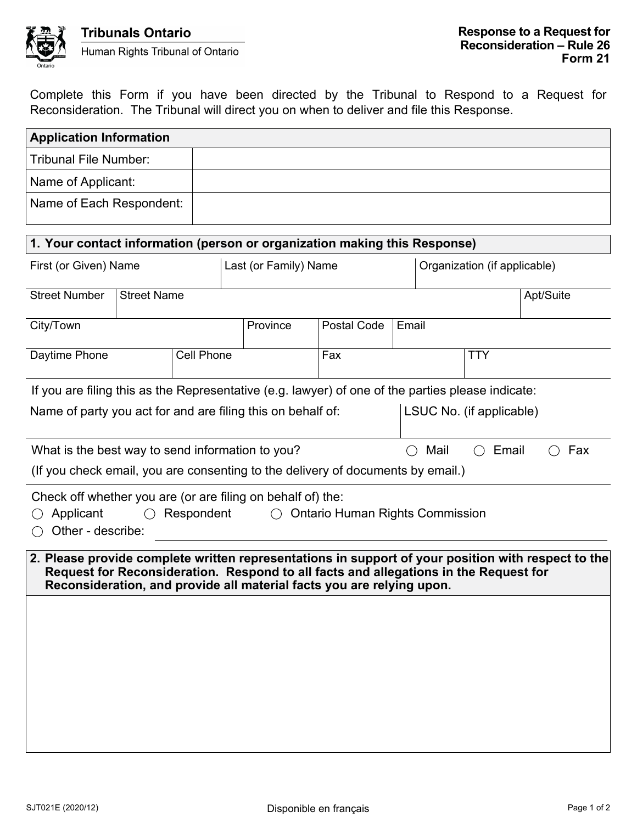

Complete this Form if you have been directed by the Tribunal to Respond to a Request for Reconsideration. The Tribunal will direct you on when to deliver and file this Response.

| <b>Application Information</b>                                                                                                                                                                                                                                      |  |                       |          |             |            |                              |  |  |           |
|---------------------------------------------------------------------------------------------------------------------------------------------------------------------------------------------------------------------------------------------------------------------|--|-----------------------|----------|-------------|------------|------------------------------|--|--|-----------|
| <b>Tribunal File Number:</b>                                                                                                                                                                                                                                        |  |                       |          |             |            |                              |  |  |           |
| Name of Applicant:                                                                                                                                                                                                                                                  |  |                       |          |             |            |                              |  |  |           |
| Name of Each Respondent:                                                                                                                                                                                                                                            |  |                       |          |             |            |                              |  |  |           |
| 1. Your contact information (person or organization making this Response)                                                                                                                                                                                           |  |                       |          |             |            |                              |  |  |           |
| First (or Given) Name                                                                                                                                                                                                                                               |  | Last (or Family) Name |          |             |            | Organization (if applicable) |  |  |           |
| <b>Street Number</b><br><b>Street Name</b>                                                                                                                                                                                                                          |  |                       |          |             |            |                              |  |  | Apt/Suite |
| City/Town                                                                                                                                                                                                                                                           |  |                       | Province | Postal Code |            | Email                        |  |  |           |
| <b>Cell Phone</b><br>Daytime Phone                                                                                                                                                                                                                                  |  |                       |          | Fax         | <b>TTY</b> |                              |  |  |           |
| If you are filing this as the Representative (e.g. lawyer) of one of the parties please indicate:<br>Name of party you act for and are filing this on behalf of:<br>LSUC No. (if applicable)                                                                        |  |                       |          |             |            |                              |  |  |           |
| What is the best way to send information to you?<br>Mail<br>Email<br>Fax<br>( )<br>( )                                                                                                                                                                              |  |                       |          |             |            |                              |  |  |           |
| (If you check email, you are consenting to the delivery of documents by email.)                                                                                                                                                                                     |  |                       |          |             |            |                              |  |  |           |
| Check off whether you are (or are filing on behalf of) the:<br>Respondent<br>Applicant<br><b>Ontario Human Rights Commission</b><br>$\bigcap$<br>Other - describe:                                                                                                  |  |                       |          |             |            |                              |  |  |           |
| 2. Please provide complete written representations in support of your position with respect to the<br>Request for Reconsideration. Respond to all facts and allegations in the Request for<br>Reconsideration, and provide all material facts you are relying upon. |  |                       |          |             |            |                              |  |  |           |
|                                                                                                                                                                                                                                                                     |  |                       |          |             |            |                              |  |  |           |
|                                                                                                                                                                                                                                                                     |  |                       |          |             |            |                              |  |  |           |
|                                                                                                                                                                                                                                                                     |  |                       |          |             |            |                              |  |  |           |
|                                                                                                                                                                                                                                                                     |  |                       |          |             |            |                              |  |  |           |
|                                                                                                                                                                                                                                                                     |  |                       |          |             |            |                              |  |  |           |
|                                                                                                                                                                                                                                                                     |  |                       |          |             |            |                              |  |  |           |